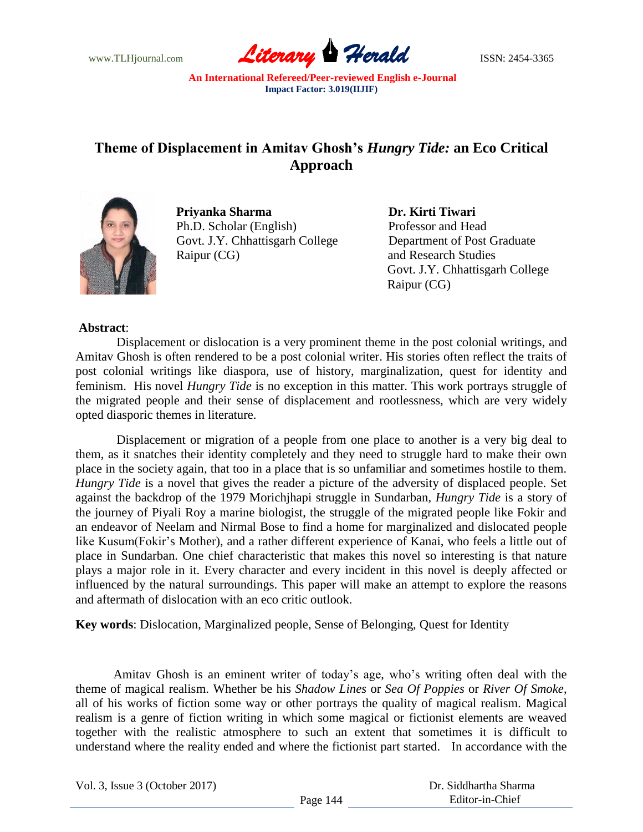

## **Theme of Displacement in Amitav Ghosh's** *Hungry Tide:* **an Eco Critical Approach**



 **Priyanka Sharma Dr. Kirti Tiwari** Ph.D. Scholar (English) Professor and Head Govt. J.Y. Chhattisgarh College Department of Post Graduate Raipur (CG) and Research Studies

 Govt. J.Y. Chhattisgarh College Raipur (CG)

## **Abstract**:

Displacement or dislocation is a very prominent theme in the post colonial writings, and Amitav Ghosh is often rendered to be a post colonial writer. His stories often reflect the traits of post colonial writings like diaspora, use of history, marginalization, quest for identity and feminism. His novel *Hungry Tide* is no exception in this matter. This work portrays struggle of the migrated people and their sense of displacement and rootlessness, which are very widely opted diasporic themes in literature.

Displacement or migration of a people from one place to another is a very big deal to them, as it snatches their identity completely and they need to struggle hard to make their own place in the society again, that too in a place that is so unfamiliar and sometimes hostile to them. *Hungry Tide* is a novel that gives the reader a picture of the adversity of displaced people. Set against the backdrop of the 1979 Morichjhapi struggle in Sundarban, *Hungry Tide* is a story of the journey of Piyali Roy a marine biologist, the struggle of the migrated people like Fokir and an endeavor of Neelam and Nirmal Bose to find a home for marginalized and dislocated people like Kusum(Fokir's Mother), and a rather different experience of Kanai, who feels a little out of place in Sundarban. One chief characteristic that makes this novel so interesting is that nature plays a major role in it. Every character and every incident in this novel is deeply affected or influenced by the natural surroundings. This paper will make an attempt to explore the reasons and aftermath of dislocation with an eco critic outlook.

**Key words**: Dislocation, Marginalized people, Sense of Belonging, Quest for Identity

Amitav Ghosh is an eminent writer of today"s age, who"s writing often deal with the theme of magical realism. Whether be his *Shadow Lines* or *Sea Of Poppies* or *River Of Smoke*, all of his works of fiction some way or other portrays the quality of magical realism. Magical realism is a genre of fiction writing in which some magical or fictionist elements are weaved together with the realistic atmosphere to such an extent that sometimes it is difficult to understand where the reality ended and where the fictionist part started. In accordance with the

Vol. 3, Issue 3 (October 2017)

 Dr. Siddhartha Sharma Editor-in-Chief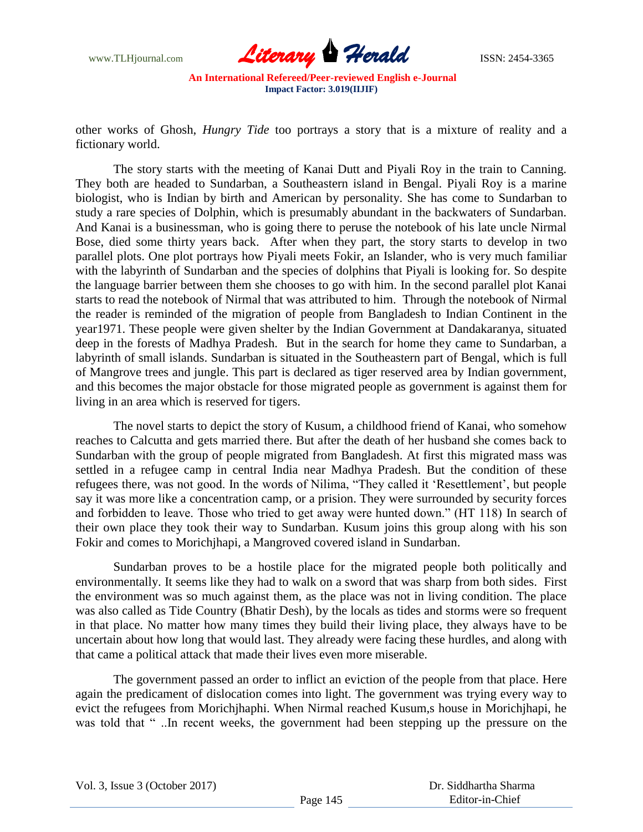

other works of Ghosh, *Hungry Tide* too portrays a story that is a mixture of reality and a fictionary world.

The story starts with the meeting of Kanai Dutt and Piyali Roy in the train to Canning. They both are headed to Sundarban, a Southeastern island in Bengal. Piyali Roy is a marine biologist, who is Indian by birth and American by personality. She has come to Sundarban to study a rare species of Dolphin, which is presumably abundant in the backwaters of Sundarban. And Kanai is a businessman, who is going there to peruse the notebook of his late uncle Nirmal Bose, died some thirty years back. After when they part, the story starts to develop in two parallel plots. One plot portrays how Piyali meets Fokir, an Islander, who is very much familiar with the labyrinth of Sundarban and the species of dolphins that Piyali is looking for. So despite the language barrier between them she chooses to go with him. In the second parallel plot Kanai starts to read the notebook of Nirmal that was attributed to him. Through the notebook of Nirmal the reader is reminded of the migration of people from Bangladesh to Indian Continent in the year1971. These people were given shelter by the Indian Government at Dandakaranya, situated deep in the forests of Madhya Pradesh. But in the search for home they came to Sundarban, a labyrinth of small islands. Sundarban is situated in the Southeastern part of Bengal, which is full of Mangrove trees and jungle. This part is declared as tiger reserved area by Indian government, and this becomes the major obstacle for those migrated people as government is against them for living in an area which is reserved for tigers.

The novel starts to depict the story of Kusum, a childhood friend of Kanai, who somehow reaches to Calcutta and gets married there. But after the death of her husband she comes back to Sundarban with the group of people migrated from Bangladesh. At first this migrated mass was settled in a refugee camp in central India near Madhya Pradesh. But the condition of these refugees there, was not good. In the words of Nilima, "They called it "Resettlement", but people say it was more like a concentration camp, or a prision. They were surrounded by security forces and forbidden to leave. Those who tried to get away were hunted down." (HT 118) In search of their own place they took their way to Sundarban. Kusum joins this group along with his son Fokir and comes to Morichjhapi, a Mangroved covered island in Sundarban.

Sundarban proves to be a hostile place for the migrated people both politically and environmentally. It seems like they had to walk on a sword that was sharp from both sides. First the environment was so much against them, as the place was not in living condition. The place was also called as Tide Country (Bhatir Desh), by the locals as tides and storms were so frequent in that place. No matter how many times they build their living place, they always have to be uncertain about how long that would last. They already were facing these hurdles, and along with that came a political attack that made their lives even more miserable.

The government passed an order to inflict an eviction of the people from that place. Here again the predicament of dislocation comes into light. The government was trying every way to evict the refugees from Morichjhaphi. When Nirmal reached Kusum,s house in Morichjhapi, he was told that " ..In recent weeks, the government had been stepping up the pressure on the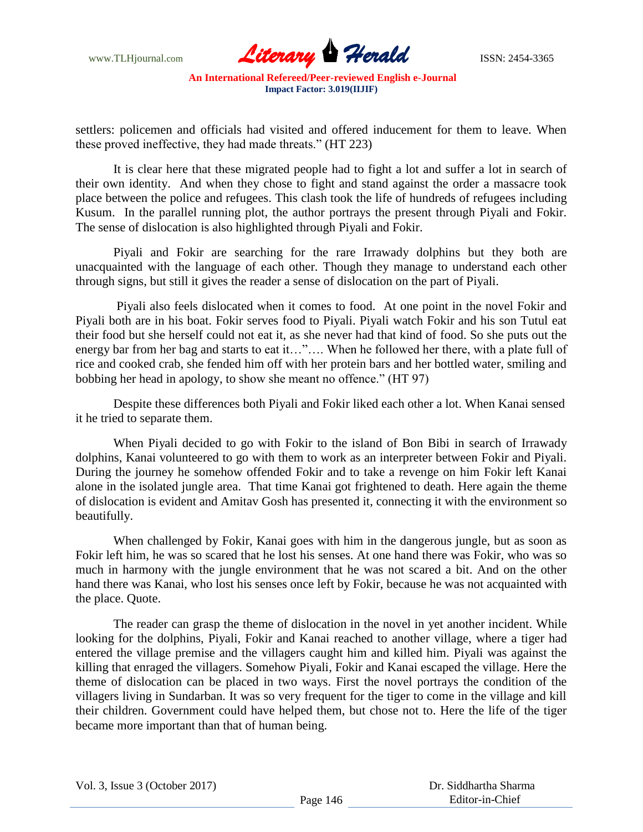

settlers: policemen and officials had visited and offered inducement for them to leave. When these proved ineffective, they had made threats." (HT 223)

It is clear here that these migrated people had to fight a lot and suffer a lot in search of their own identity. And when they chose to fight and stand against the order a massacre took place between the police and refugees. This clash took the life of hundreds of refugees including Kusum. In the parallel running plot, the author portrays the present through Piyali and Fokir. The sense of dislocation is also highlighted through Piyali and Fokir.

Piyali and Fokir are searching for the rare Irrawady dolphins but they both are unacquainted with the language of each other. Though they manage to understand each other through signs, but still it gives the reader a sense of dislocation on the part of Piyali.

Piyali also feels dislocated when it comes to food. At one point in the novel Fokir and Piyali both are in his boat. Fokir serves food to Piyali. Piyali watch Fokir and his son Tutul eat their food but she herself could not eat it, as she never had that kind of food. So she puts out the energy bar from her bag and starts to eat it…"…. When he followed her there, with a plate full of rice and cooked crab, she fended him off with her protein bars and her bottled water, smiling and bobbing her head in apology, to show she meant no offence." (HT 97)

Despite these differences both Piyali and Fokir liked each other a lot. When Kanai sensed it he tried to separate them.

When Piyali decided to go with Fokir to the island of Bon Bibi in search of Irrawady dolphins, Kanai volunteered to go with them to work as an interpreter between Fokir and Piyali. During the journey he somehow offended Fokir and to take a revenge on him Fokir left Kanai alone in the isolated jungle area. That time Kanai got frightened to death. Here again the theme of dislocation is evident and Amitav Gosh has presented it, connecting it with the environment so beautifully.

When challenged by Fokir, Kanai goes with him in the dangerous jungle, but as soon as Fokir left him, he was so scared that he lost his senses. At one hand there was Fokir, who was so much in harmony with the jungle environment that he was not scared a bit. And on the other hand there was Kanai, who lost his senses once left by Fokir, because he was not acquainted with the place. Quote.

The reader can grasp the theme of dislocation in the novel in yet another incident. While looking for the dolphins, Piyali, Fokir and Kanai reached to another village, where a tiger had entered the village premise and the villagers caught him and killed him. Piyali was against the killing that enraged the villagers. Somehow Piyali, Fokir and Kanai escaped the village. Here the theme of dislocation can be placed in two ways. First the novel portrays the condition of the villagers living in Sundarban. It was so very frequent for the tiger to come in the village and kill their children. Government could have helped them, but chose not to. Here the life of the tiger became more important than that of human being.